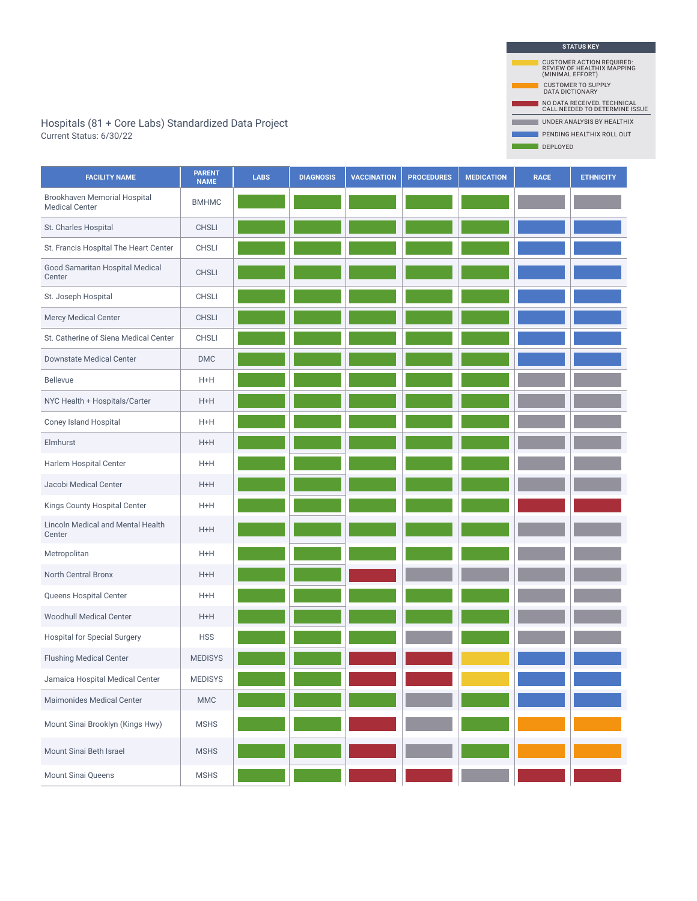Hospitals (81 + Core Labs) Standardized Data Project New York University Project New York 2014 1998 ANALYSIS BY HEALTHIX Current Status: 6/30/22

| <b>STATUS KEY</b>                                                                  |
|------------------------------------------------------------------------------------|
| <b>CUSTOMER ACTION REQUIRED:</b><br>REVIEW OF HEALTHIX MAPPING<br>(MINIMAL EFFORT) |
| <b>CUSTOMER TO SUPPLY</b><br><b>DATA DICTIONARY</b>                                |
| NO DATA RECEIVED. TECHNICAL<br>CALL NEEDED TO DETERMINE ISSUE                      |
| <b>UNDER ANALYSIS BY HEALTHIX</b>                                                  |
| PENDING HEALTHIX ROLL OUT                                                          |
| <b>DEPLOYED</b>                                                                    |

 $\blacksquare$ 

n.

| <b>FACILITY NAME</b>                                  | <b>PARENT</b><br><b>NAME</b> | <b>LABS</b> | <b>DIAGNOSIS</b> | <b>VACCINATION</b> | <b>PROCEDURES</b> | <b>MEDICATION</b> | <b>RACE</b> | <b>ETHNICITY</b> |
|-------------------------------------------------------|------------------------------|-------------|------------------|--------------------|-------------------|-------------------|-------------|------------------|
| Brookhaven Memorial Hospital<br><b>Medical Center</b> | <b>BMHMC</b>                 |             |                  |                    |                   |                   |             |                  |
| St. Charles Hospital                                  | <b>CHSLI</b>                 |             |                  |                    |                   |                   |             |                  |
| St. Francis Hospital The Heart Center                 | <b>CHSLI</b>                 |             |                  |                    |                   |                   |             |                  |
| Good Samaritan Hospital Medical<br>Center             | <b>CHSLI</b>                 |             |                  |                    |                   |                   |             |                  |
| St. Joseph Hospital                                   | <b>CHSLI</b>                 |             |                  |                    |                   |                   |             |                  |
| Mercy Medical Center                                  | <b>CHSLI</b>                 |             |                  |                    |                   |                   |             |                  |
| St. Catherine of Siena Medical Center                 | CHSLI                        |             |                  |                    |                   |                   |             |                  |
| <b>Downstate Medical Center</b>                       | $\mathsf{DMC}$               |             |                  |                    |                   |                   |             |                  |
| <b>Bellevue</b>                                       | $H+H$                        |             |                  |                    |                   |                   |             |                  |
| NYC Health + Hospitals/Carter                         | $H+H$                        |             |                  |                    |                   |                   |             |                  |
| Coney Island Hospital                                 | $H+H$                        |             |                  |                    |                   |                   |             |                  |
| Elmhurst                                              | $H+H$                        |             |                  |                    |                   |                   |             |                  |
| Harlem Hospital Center                                | $H+H$                        |             |                  |                    |                   |                   |             |                  |
| Jacobi Medical Center                                 | $H+H$                        |             |                  |                    |                   |                   |             |                  |
| Kings County Hospital Center                          | $H+H$                        |             |                  |                    |                   |                   |             |                  |
| Lincoln Medical and Mental Health<br>Center           | $H+H$                        |             |                  |                    |                   |                   |             |                  |
| Metropolitan                                          | $H+H$                        |             |                  |                    |                   |                   |             |                  |
| North Central Bronx                                   | $H+H$                        |             |                  |                    |                   |                   |             |                  |
| Queens Hospital Center                                | $H+H$                        |             |                  |                    |                   |                   |             |                  |
| <b>Woodhull Medical Center</b>                        | $H+H$                        |             |                  |                    |                   |                   |             |                  |
| Hospital for Special Surgery                          | <b>HSS</b>                   |             |                  |                    |                   |                   |             |                  |
| <b>Flushing Medical Center</b>                        | <b>MEDISYS</b>               |             |                  |                    |                   |                   |             |                  |
| Jamaica Hospital Medical Center                       | <b>MEDISYS</b>               |             |                  |                    |                   |                   |             |                  |
| Maimonides Medical Center                             | <b>MMC</b>                   |             |                  |                    |                   |                   |             |                  |
| Mount Sinai Brooklyn (Kings Hwy)                      | <b>MSHS</b>                  |             |                  |                    |                   |                   |             |                  |
| Mount Sinai Beth Israel                               | <b>MSHS</b>                  |             |                  |                    |                   |                   |             |                  |
| Mount Sinai Queens                                    | <b>MSHS</b>                  |             |                  |                    |                   |                   |             |                  |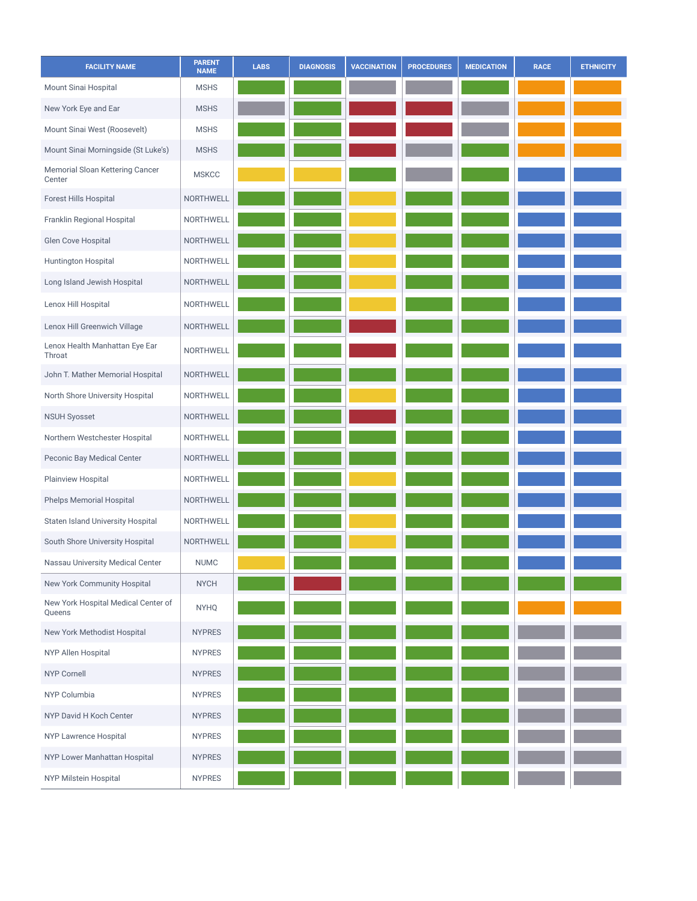| <b>FACILITY NAME</b>                          | <b>PARENT</b><br><b>NAME</b> | <b>LABS</b> | <b>DIAGNOSIS</b> | <b>VACCINATION</b> | <b>PROCEDURES</b> | <b>MEDICATION</b> | <b>RACE</b> | <b>ETHNICITY</b> |
|-----------------------------------------------|------------------------------|-------------|------------------|--------------------|-------------------|-------------------|-------------|------------------|
| Mount Sinai Hospital                          | <b>MSHS</b>                  |             |                  |                    |                   |                   |             |                  |
| New York Eye and Ear                          | <b>MSHS</b>                  |             |                  |                    |                   |                   |             |                  |
| Mount Sinai West (Roosevelt)                  | <b>MSHS</b>                  |             |                  |                    |                   |                   |             |                  |
| Mount Sinai Morningside (St Luke's)           | <b>MSHS</b>                  |             |                  |                    |                   |                   |             |                  |
| Memorial Sloan Kettering Cancer<br>Center     | <b>MSKCC</b>                 |             |                  |                    |                   |                   |             |                  |
| Forest Hills Hospital                         | <b>NORTHWELL</b>             |             |                  |                    |                   |                   |             |                  |
| Franklin Regional Hospital                    | NORTHWELL                    |             |                  |                    |                   |                   |             |                  |
| Glen Cove Hospital                            | NORTHWELL                    |             |                  |                    |                   |                   |             |                  |
| Huntington Hospital                           | NORTHWELL                    |             |                  |                    |                   |                   |             |                  |
| Long Island Jewish Hospital                   | NORTHWELL                    |             |                  |                    |                   |                   |             |                  |
| Lenox Hill Hospital                           | NORTHWELL                    |             |                  |                    |                   |                   |             |                  |
| Lenox Hill Greenwich Village                  | NORTHWELL                    |             |                  |                    |                   |                   |             |                  |
| Lenox Health Manhattan Eye Ear<br>Throat      | NORTHWELL                    |             |                  |                    |                   |                   |             |                  |
| John T. Mather Memorial Hospital              | <b>NORTHWELL</b>             |             |                  |                    |                   |                   |             |                  |
| North Shore University Hospital               | NORTHWELL                    |             |                  |                    |                   |                   |             |                  |
| <b>NSUH Syosset</b>                           | NORTHWELL                    |             |                  |                    |                   |                   |             |                  |
| Northern Westchester Hospital                 | NORTHWELL                    |             |                  |                    |                   |                   |             |                  |
| Peconic Bay Medical Center                    | NORTHWELL                    |             |                  |                    |                   |                   |             |                  |
| Plainview Hospital                            | NORTHWELL                    |             |                  |                    |                   |                   |             |                  |
| Phelps Memorial Hospital                      | <b>NORTHWELL</b>             |             |                  |                    |                   |                   |             |                  |
| Staten Island University Hospital             | NORTHWELL                    |             |                  |                    |                   |                   |             |                  |
| South Shore University Hospital               | NORTHWELL                    |             |                  |                    |                   |                   |             |                  |
| Nassau University Medical Center              | <b>NUMC</b>                  |             |                  |                    |                   |                   |             |                  |
| New York Community Hospital                   | <b>NYCH</b>                  |             |                  |                    |                   |                   |             |                  |
| New York Hospital Medical Center of<br>Queens | <b>NYHQ</b>                  |             |                  |                    |                   |                   |             |                  |
| New York Methodist Hospital                   | <b>NYPRES</b>                |             |                  |                    |                   |                   |             |                  |
| NYP Allen Hospital                            | <b>NYPRES</b>                |             |                  |                    |                   |                   |             |                  |
| <b>NYP Cornell</b>                            | <b>NYPRES</b>                |             |                  |                    |                   |                   |             |                  |
| NYP Columbia                                  | <b>NYPRES</b>                |             |                  |                    |                   |                   |             |                  |
| NYP David H Koch Center                       | <b>NYPRES</b>                |             |                  |                    |                   |                   |             |                  |
| NYP Lawrence Hospital                         | <b>NYPRES</b>                |             |                  |                    |                   |                   |             |                  |
| NYP Lower Manhattan Hospital                  | <b>NYPRES</b>                |             |                  |                    |                   |                   |             |                  |
| NYP Milstein Hospital                         | <b>NYPRES</b>                |             |                  |                    |                   |                   |             |                  |